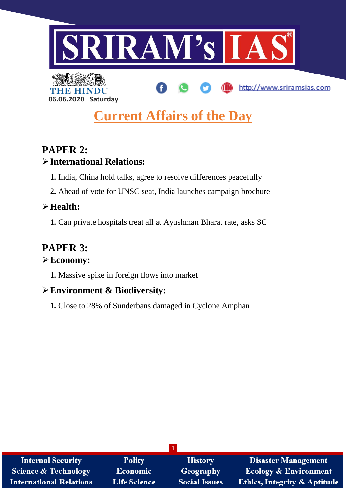

# **Current Affairs of the Day**

## **PAPER 2:**

### **International Relations:**

**06.06.2020 Saturday**

- **1.** India, China hold talks, agree to resolve differences peacefully
- **2.** Ahead of vote for UNSC seat, India launches campaign brochure

### **Health:**

**1.** Can private hospitals treat all at Ayushman Bharat rate, asks SC

## **PAPER 3:**

### **Economy:**

**1.** Massive spike in foreign flows into market

## **Environment & Biodiversity:**

**1.** Close to 28% of Sunderbans damaged in Cyclone Amphan

| <b>Internal Security</b>        | <b>Polity</b>       | <b>History</b>       | <b>Disaster Management</b>              |
|---------------------------------|---------------------|----------------------|-----------------------------------------|
| <b>Science &amp; Technology</b> | Economic            | <b>Geography</b>     | <b>Ecology &amp; Environment</b>        |
| <b>International Relations</b>  | <b>Life Science</b> | <b>Social Issues</b> | <b>Ethics, Integrity &amp; Aptitude</b> |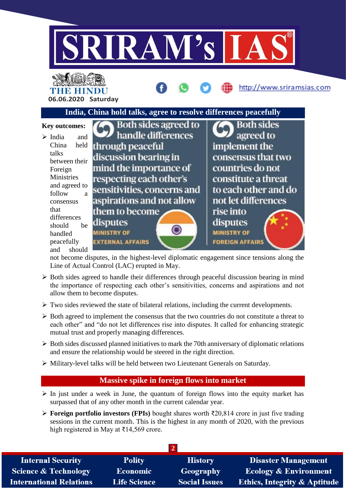

## THE HIN **06.06.2020 Saturday**

# **India, China hold talks, agree to resolve differences peacefully**

http://www.sriramsias.com

#### Both sides agreed to **Both sides Key outcomes:** handle differences agreed to  $\triangleright$  India and China held through peaceful implement the talks discussion bearing in consensus that two between their mind the importance of countries do not Foreign respecting each other's Ministries constitute a threat and agreed to sensitivities, concerns and to each other and do follow a not let differences aspirations and not allow consensus that them to become rise into differences disputes disputes should be **MINISTRY OF MINISTRY OF** handled peacefully **EXTERNAL AFFAIRS FOREIGN AFFAIRS** and should

not become disputes, in the highest-level diplomatic engagement since tensions along the Line of Actual Control (LAC) erupted in May.

- $\triangleright$  Both sides agreed to handle their differences through peaceful discussion bearing in mind the importance of respecting each other's sensitivities, concerns and aspirations and not allow them to become disputes.
- $\triangleright$  Two sides reviewed the state of bilateral relations, including the current developments.
- $\triangleright$  Both agreed to implement the consensus that the two countries do not constitute a threat to each other" and "do not let differences rise into disputes. It called for enhancing strategic mutual trust and properly managing differences.
- $\triangleright$  Both sides discussed planned initiatives to mark the 70th anniversary of diplomatic relations and ensure the relationship would be steered in the right direction.
- Military-level talks will be held between two Lieutenant Generals on Saturday.

### **Massive spike in foreign flows into market**

- $\triangleright$  In just under a week in June, the quantum of foreign flows into the equity market has surpassed that of any other month in the current calendar year.
- **Foreign portfolio investors (FPIs)** bought shares worth ₹20,814 crore in just five trading sessions in the current month. This is the highest in any month of 2020, with the previous high registered in May at ₹14,569 crore.

| <b>Internal Security</b>        | <b>Polity</b>       | <b>History</b>       | Disaster Management                     |  |
|---------------------------------|---------------------|----------------------|-----------------------------------------|--|
| <b>Science &amp; Technology</b> | <b>Economic</b>     | Geography            | <b>Ecology &amp; Environment</b>        |  |
| <b>International Relations</b>  | <b>Life Science</b> | <b>Social Issues</b> | <b>Ethics, Integrity &amp; Aptitude</b> |  |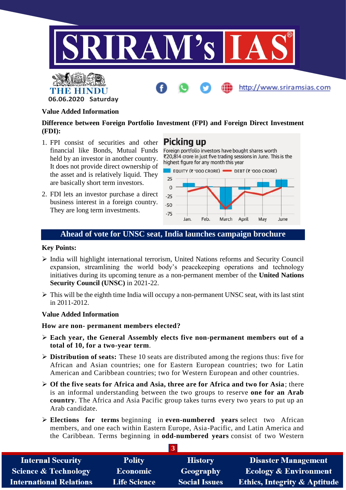



THE HI

**06.06.2020 Saturday**

#### **Difference between Foreign Portfolio Investment (FPI) and Foreign Direct Investment (FDI):**

- 1. FPI consist of securities and other financial like Bonds, Mutual Funds held by an investor in another country. It does not provide direct ownership of the asset and is relatively liquid. They are basically short term investors.
- 2. FDI lets an investor purchase a direct business interest in a foreign country. They are long term investments.

**Picking up** Foreign portfolio investors have bought shares worth

₹20,814 crore in just five trading sessions in June. This is the highest figure for any month this year



#### **Ahead of vote for UNSC seat, India launches campaign brochure**

#### **Key Points:**

- $\triangleright$  India will highlight international terrorism, United Nations reforms and Security Council expansion, streamlining the world body's peacekeeping operations and technology initiatives during its upcoming tenure as a non-permanent member of the **United Nations Security Council (UNSC)** in 2021-22.
- $\triangleright$  This will be the eighth time India will occupy a non-permanent UNSC seat, with its last stint in 2011-2012.

#### **Value Added Information**

**How are non- permanent members elected?**

- **Each year, the General Assembly elects five non-permanent members out of a total of 10, for a two-year term**.
- **Distribution of seats:** These 10 seats are distributed among the regions thus: five for African and Asian countries; one for Eastern European countries; two for Latin American and Caribbean countries; two for Western European and other countries.
- **Of the five seats for Africa and Asia, three are for Africa and two for Asia**; there is an informal understanding between the two groups to reserve **one for an Arab country**. The Africa and Asia Pacific group takes turns every two years to put up an Arab candidate.
- **Elections for terms** beginning in **even-numbered years** select two African members, and one each within Eastern Europe, Asia-Pacific, and Latin America and the Caribbean. Terms beginning in **odd-numbered years** consist of two Western

| <b>Internal Security</b>        | <b>Polity</b>       | <b>History</b>       | <b>Disaster Management</b>              |  |
|---------------------------------|---------------------|----------------------|-----------------------------------------|--|
| <b>Science &amp; Technology</b> | <b>Economic</b>     | Geography            | <b>Ecology &amp; Environment</b>        |  |
| <b>International Relations</b>  | <b>Life Science</b> | <b>Social Issues</b> | <b>Ethics, Integrity &amp; Aptitude</b> |  |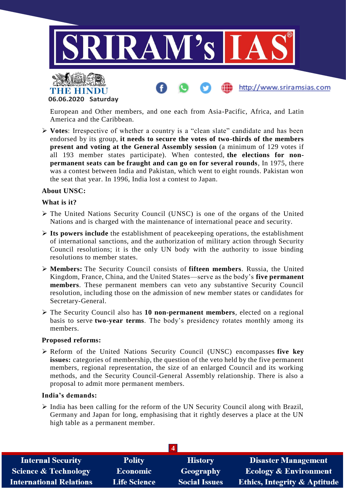

**06.06.2020 Saturday**

European and Other members, and one each from Asia-Pacific, Africa, and Latin America and the Caribbean.

 **Votes**: Irrespective of whether a country is a "clean slate" candidate and has been endorsed by its group, **it needs to secure the votes of two-thirds of the members present and voting at the General Assembly session** (a minimum of 129 votes if all 193 member states participate). When contested, **the elections for nonpermanent seats can be fraught and can go on for several rounds**, In 1975, there was a contest between India and Pakistan, which went to eight rounds. Pakistan won the seat that year. In 1996, India lost a contest to Japan.

#### **About UNSC:**

#### **What is it?**

- The United Nations Security Council (UNSC) is one of the organs of the United Nations and is charged with the maintenance of international peace and security.
- **Its powers include** the establishment of peacekeeping operations, the establishment of international sanctions, and the authorization of military action through Security Council resolutions; it is the only UN body with the authority to issue binding resolutions to member states.
- **Members:** The Security Council consists of **fifteen members**. Russia, the United Kingdom, France, China, and the United States—serve as the body's **five permanent members**. These permanent members can veto any substantive Security Council resolution, including those on the admission of new member states or candidates for Secretary-General.
- The Security Council also has **10 non-permanent members**, elected on a regional basis to serve **two-year terms**. The body's presidency rotates monthly among its members.

#### **Proposed reforms:**

 Reform of the United Nations Security Council (UNSC) encompasses **five key issues:** categories of membership, the question of the veto held by the five permanent members, regional representation, the size of an enlarged Council and its working methods, and the Security Council-General Assembly relationship. There is also a proposal to admit more permanent members.

#### **India's demands:**

 $\triangleright$  India has been calling for the reform of the UN Security Council along with Brazil, Germany and Japan for long, emphasising that it rightly deserves a place at the UN high table as a permanent member.

| <b>Internal Security</b>       | <b>Polity</b>       | <b>History</b>       | <b>Disaster Management</b>              |  |
|--------------------------------|---------------------|----------------------|-----------------------------------------|--|
| Science & Technology           | <b>Economic</b>     | Geography            | <b>Ecology &amp; Environment</b>        |  |
| <b>International Relations</b> | <b>Life Science</b> | <b>Social Issues</b> | <b>Ethics, Integrity &amp; Aptitude</b> |  |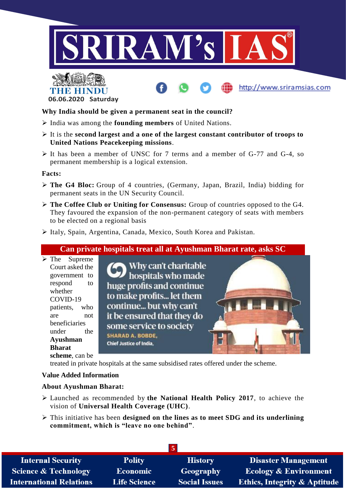





**Why India should be given a permanent seat in the council?**

- India was among the **founding members** of United Nations.
- It is the **second largest and a one of the largest constant contributor of troops to United Nations Peacekeeping missions**.
- It has been a member of UNSC for 7 terms and a member of G-77 and G-4, so permanent membership is a logical extension.

#### **Facts:**

- **The G4 Bloc:** Group of 4 countries, (Germany, Japan, Brazil, India) bidding for permanent seats in the UN Security Council.
- **The Coffee Club or Uniting for Consensus:** Group of countries opposed to the G4. They favoured the expansion of the non-permanent category of seats with members to be elected on a regional basis
- Italy, Spain, Argentina, Canada, Mexico, South Korea and Pakistan.

#### **Can private hospitals treat all at Ayushman Bharat rate, asks SC**

 $\triangleright$  The Supreme Court asked the government to respond to whether COVID-19 patients, who are not beneficiaries under the **Ayushman Bharat scheme**, can be

Why can't charitable hospitals who made huge profits and continue to make profits... let them continue... but why can't it be ensured that they do some service to society **SHARAD A. BOBDE,** Chief Justice of India.

treated in private hospitals at the same subsidised rates offered under the scheme.

#### **Value Added Information**

#### **About Ayushman Bharat:**

- Launched as recommended by **the National Health Policy 2017**, to achieve the vision of **Universal Health Coverage (UHC)**.
- This initiative has been **designed on the lines as to meet SDG and its underlining commitment, which is "leave no one behind"**.

| $\overline{5}$                  |                     |                      |                                         |
|---------------------------------|---------------------|----------------------|-----------------------------------------|
| <b>Internal Security</b>        | <b>Polity</b>       | <b>History</b>       | <b>Disaster Management</b>              |
| <b>Science &amp; Technology</b> | <b>Economic</b>     | Geography            | <b>Ecology &amp; Environment</b>        |
| <b>International Relations</b>  | <b>Life Science</b> | <b>Social Issues</b> | <b>Ethics, Integrity &amp; Aptitude</b> |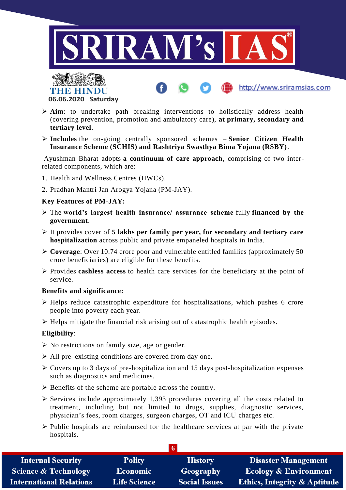

http://www.sriramsias.com



- **Aim**: to undertake path breaking interventions to holistically address health (covering prevention, promotion and ambulatory care), **at primary, secondary and tertiary level**.
- **Includes** the on-going centrally sponsored schemes **Senior Citizen Health Insurance Scheme (SCHIS) and Rashtriya Swasthya Bima Yojana (RSBY)**.

Ayushman Bharat adopts **a continuum of care approach**, comprising of two interrelated components, which are:

- 1. Health and Wellness Centres (HWCs).
- 2. Pradhan Mantri Jan Arogya Yojana (PM-JAY).

#### **Key Features of PM-JAY:**

- The **world's largest health insurance/ assurance scheme** fully **financed by the government**.
- It provides cover of **5 lakhs per family per year, for secondary and tertiary care hospitalization** across public and private empaneled hospitals in India.
- **Coverage**: Over 10.74 crore poor and vulnerable entitled families (approximately 50 crore beneficiaries) are eligible for these benefits.
- Provides **cashless access** to health care services for the beneficiary at the point of service.

#### **Benefits and significance:**

- $\triangleright$  Helps reduce catastrophic expenditure for hospitalizations, which pushes 6 crore people into poverty each year.
- $\triangleright$  Helps mitigate the financial risk arising out of catastrophic health episodes.

#### **Eligibility**:

- $\triangleright$  No restrictions on family size, age or gender.
- $\triangleright$  All pre–existing conditions are covered from day one.
- $\triangleright$  Covers up to 3 days of pre-hospitalization and 15 days post-hospitalization expenses such as diagnostics and medicines.
- $\triangleright$  Benefits of the scheme are portable across the country.
- $\triangleright$  Services include approximately 1,393 procedures covering all the costs related to treatment, including but not limited to drugs, supplies, diagnostic services, physician's fees, room charges, surgeon charges, OT and ICU charges etc.
- $\triangleright$  Public hospitals are reimbursed for the healthcare services at par with the private hospitals.

| <b>Internal Security</b>        | <b>Polity</b>       | <b>History</b>       | <b>Disaster Management</b>              |
|---------------------------------|---------------------|----------------------|-----------------------------------------|
| <b>Science &amp; Technology</b> | <b>Economic</b>     | Geography            | <b>Ecology &amp; Environment</b>        |
| <b>International Relations</b>  | <b>Life Science</b> | <b>Social Issues</b> | <b>Ethics, Integrity &amp; Aptitude</b> |